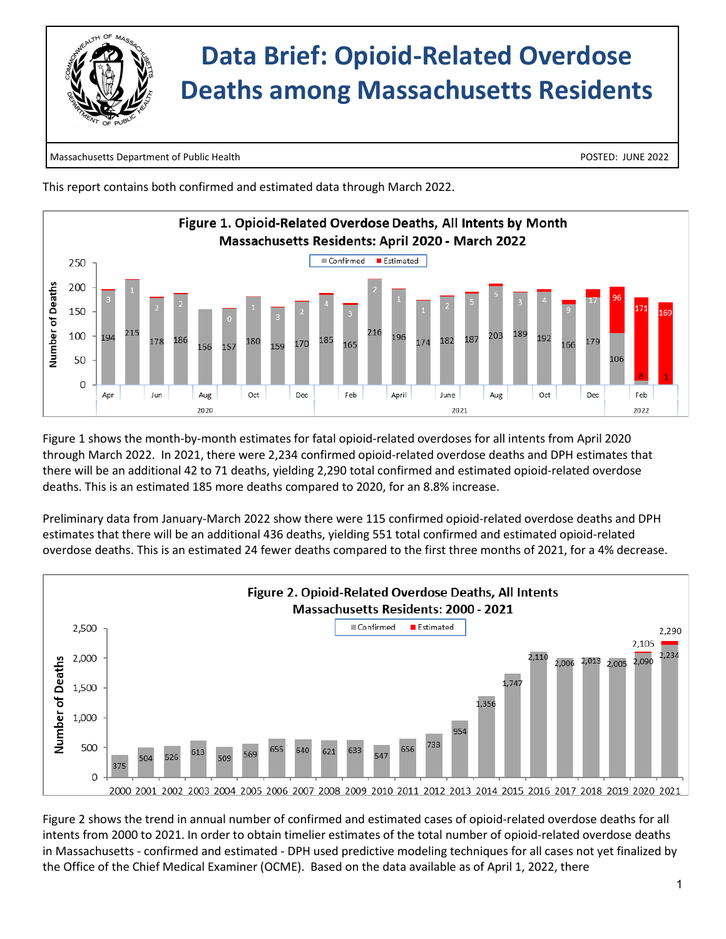

Massachusetts Department of Public Health POSTED: JUNE 2022

This report contains both confirmed and estimated data through March 2022.



Figure 1 shows the month-by-month estimates for fatal opioid-related overdoses for all intents from April 2020 through March 2022. In 2021, there were 2,234 confirmed opioid-related overdose deaths and DPH estimates that there will be an additional 42 to 71 deaths, yielding 2,290 total confirmed and estimated opioid-related overdose deaths. This is an estimated 185 more deaths compared to 2020, for an 8.8% increase.

Preliminary data from January-March 2022 show there were 115 confirmed opioid-related overdose deaths and DPH estimates that there will be an additional 436 deaths, yielding 551 total confirmed and estimated opioid-related overdose deaths. This is an estimated 24 fewer deaths compared to the first three months of 2021, for a 4% decrease.



Figure 2 shows the trend in annual number of confirmed and estimated cases of opioid-related overdose deaths for all intents from 2000 to 2021. In order to obtain timelier estimates of the total number of opioid-related overdose deaths in Massachusetts - confirmed and estimated - DPH used predictive modeling techniques for all cases not yet finalized by the Office of the Chief Medical Examiner (OCME). Based on the data available as of April 1, 2022, there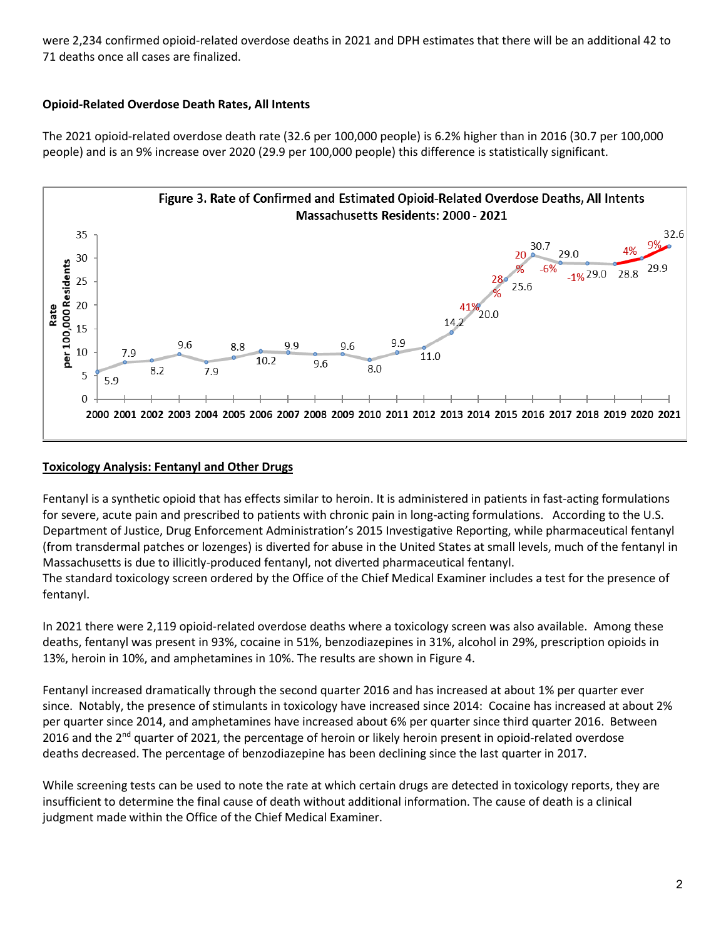were 2,234 confirmed opioid-related overdose deaths in 2021 and DPH estimates that there will be an additional 42 to 71 deaths once all cases are finalized.

## **Opioid-Related Overdose Death Rates, All Intents**

The 2021 opioid-related overdose death rate (32.6 per 100,000 people) is 6.2% higher than in 2016 (30.7 per 100,000 people) and is an 9% increase over 2020 (29.9 per 100,000 people) this difference is statistically significant.



## **Toxicology Analysis: Fentanyl and Other Drugs**

Fentanyl is a synthetic opioid that has effects similar to heroin. It is administered in patients in fast-acting formulations for severe, acute pain and prescribed to patients with chronic pain in long-acting formulations. According to the U.S. Department of Justice, Drug Enforcement Administration's 2015 Investigative Reporting, while pharmaceutical fentanyl (from transdermal patches or lozenges) is diverted for abuse in the United States at small levels, much of the fentanyl in Massachusetts is due to illicitly-produced fentanyl, not diverted pharmaceutical fentanyl.

The standard toxicology screen ordered by the Office of the Chief Medical Examiner includes a test for the presence of fentanyl.

In 2021 there were 2,119 opioid-related overdose deaths where a toxicology screen was also available. Among these deaths, fentanyl was present in 93%, cocaine in 51%, benzodiazepines in 31%, alcohol in 29%, prescription opioids in 13%, heroin in 10%, and amphetamines in 10%. The results are shown in Figure 4.

Fentanyl increased dramatically through the second quarter 2016 and has increased at about 1% per quarter ever since. Notably, the presence of stimulants in toxicology have increased since 2014: Cocaine has increased at about 2% per quarter since 2014, and amphetamines have increased about 6% per quarter since third quarter 2016. Between 2016 and the  $2^{nd}$  quarter of 2021, the percentage of heroin or likely heroin present in opioid-related overdose deaths decreased. The percentage of benzodiazepine has been declining since the last quarter in 2017.

While screening tests can be used to note the rate at which certain drugs are detected in toxicology reports, they are insufficient to determine the final cause of death without additional information. The cause of death is a clinical judgment made within the Office of the Chief Medical Examiner.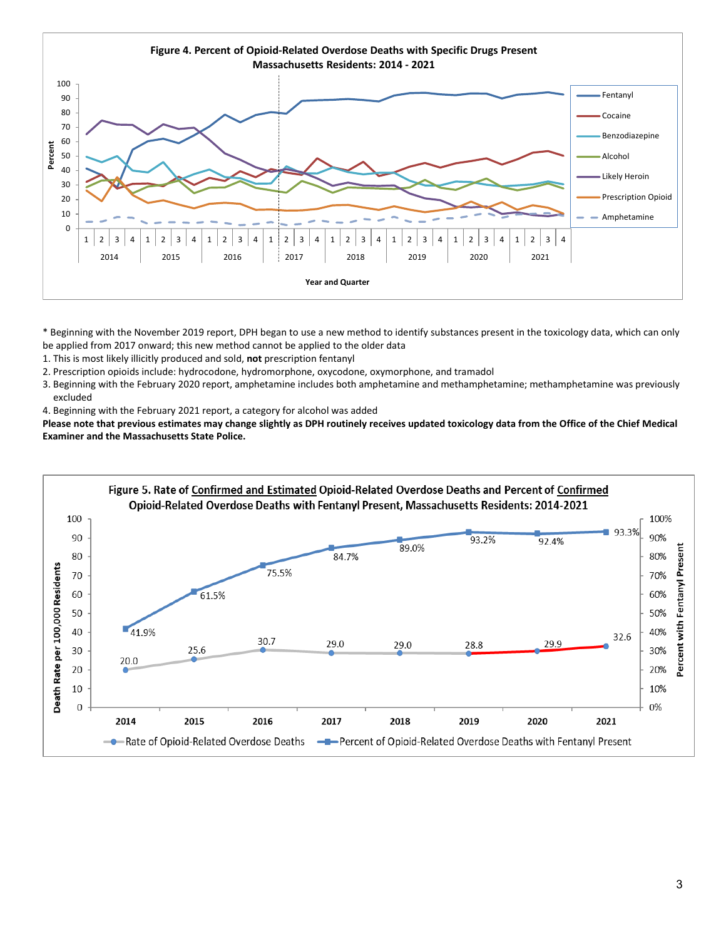

\* Beginning with the November 2019 report, DPH began to use a new method to identify substances present in the toxicology data, which can only be applied from 2017 onward; this new method cannot be applied to the older data

- 1. This is most likely illicitly produced and sold, **not** prescription fentanyl
- 2. Prescription opioids include: hydrocodone, hydromorphone, oxycodone, oxymorphone, and tramadol
- 3. Beginning with the February 2020 report, amphetamine includes both amphetamine and methamphetamine; methamphetamine was previously excluded
- 4. Beginning with the February 2021 report, a category for alcohol was added

**Please note that previous estimates may change slightly as DPH routinely receives updated toxicology data from the Office of the Chief Medical Examiner and the Massachusetts State Police.**